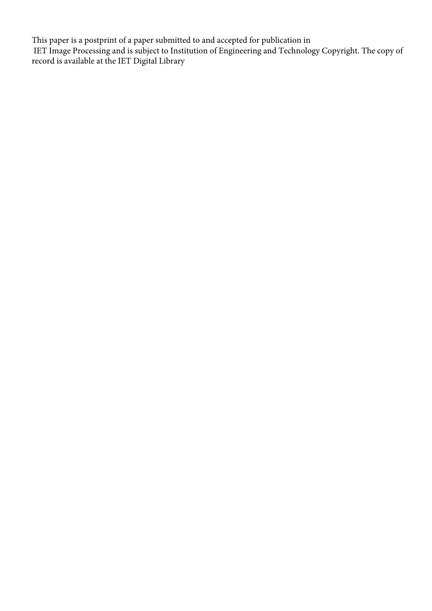This paper is a postprint of a paper submitted to and accepted for publication in IET Image Processing and is subject to Institution of Engineering and Technology Copyright. The copy of record is available at the IET Digital Library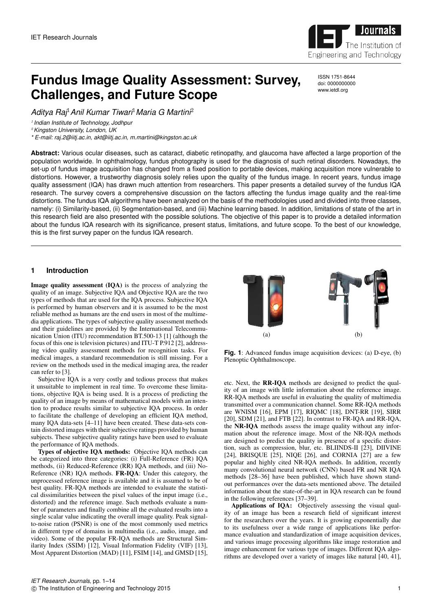

ISSN 1751-8644 doi: 0000000000 www.ietdl.org

# **Fundus Image Quality Assessment: Survey, Challenges, and Future Scope**

*Aditya Raj*1*Anil Kumar Tiwari*1*Maria G Martini*<sup>2</sup>

1 *Indian Institute of Technology, Jodhpur*

<sup>2</sup>*Kingston University, London, UK*

*\* E-mail: raj.2@iitj.ac.in, akt@iitj.ac.in, m.martini@kingston.ac.uk*

**Abstract:** Various ocular diseases, such as cataract, diabetic retinopathy, and glaucoma have affected a large proportion of the population worldwide. In ophthalmology, fundus photography is used for the diagnosis of such retinal disorders. Nowadays, the set-up of fundus image acquisition has changed from a fixed position to portable devices, making acquisition more vulnerable to distortions. However, a trustworthy diagnosis solely relies upon the quality of the fundus image. In recent years, fundus image quality assessment (IQA) has drawn much attention from researchers. This paper presents a detailed survey of the fundus IQA research. The survey covers a comprehensive discussion on the factors affecting the fundus image quality and the real-time distortions. The fundus IQA algorithms have been analyzed on the basis of the methodologies used and divided into three classes, namely: (i) Similarity-based, (ii) Segmentation-based, and (iii) Machine learning based. In addition, limitations of state of the art in this research field are also presented with the possible solutions. The objective of this paper is to provide a detailed information about the fundus IQA research with its significance, present status, limitations, and future scope. To the best of our knowledge, this is the first survey paper on the fundus IQA research.

# **1 Introduction**

Image quality assessment (IQA) is the process of analyzing the quality of an image. Subjective IQA and Objective IQA are the two types of methods that are used for the IQA process. Subjective IQA is performed by human observers and it is assumed to be the most reliable method as humans are the end users in most of the multimedia applications. The types of subjective quality assessment methods and their guidelines are provided by the International Telecommunication Union (ITU) recommendation BT.500-13 [1] (although the focus of this one is television pictures) and ITU-T P.912 [2], addressing video quality assessment methods for recognition tasks. For medical images, a standard recommendation is still missing. For a review on the methods used in the medical imaging area, the reader can refer to [3].

Subjective IQA is a very costly and tedious process that makes it unsuitable to implement in real time. To overcome these limitations, objective IQA is being used. It is a process of predicting the quality of an image by means of mathematical models with an intention to produce results similar to subjective IQA process. In order to facilitate the challenge of developing an efficient IQA method, many IQA data-sets [4–11] have been created. These data-sets contain distorted images with their subjective ratings provided by human subjects. These subjective quality ratings have been used to evaluate the performance of IQA methods.

Types of objective IQA methods: Objective IQA methods can be categorized into three categories: (i) Full-Reference (FR) IQA methods, (ii) Reduced-Reference (RR) IQA methods, and (iii) No-Reference (NR) IQA methods. FR-IQA: Under this category, the unprocessed reference image is available and it is assumed to be of best quality. FR-IQA methods are intended to evaluate the statistical dissimilarities between the pixel values of the input image (i.e., distorted) and the reference image. Such methods evaluate a number of parameters and finally combine all the evaluated results into a single scalar value indicating the overall image quality. Peak signalto-noise ration (PSNR) is one of the most commonly used metrics in different type of domains in multimedia (i.e., audio, image, and video). Some of the popular FR-IQA methods are Structural Similarity Index (SSIM) [12], Visual Information Fidelity (VIF) [13], Most Apparent Distortion (MAD) [11], FSIM [14], and GMSD [15],



**Fig. 1**: Advanced fundus image acquisition devices: (a) D-eye, (b) Plenoptic Ophthalmoscope.

etc. Next, the RR-IQA methods are designed to predict the quality of an image with little information about the reference image. RR-IQA methods are useful in evaluating the quality of multimedia transmitted over a communication channel. Some RR-IQA methods are WNISM [16], EPM [17], RIQMC [18], DNT-RR [19], SIRR [20], SDM [21], and FTB [22]. In contrast to FR-IQA and RR-IQA, the NR-IQA methods assess the image quality without any information about the reference image. Most of the NR-IQA methods are designed to predict the quality in presence of a specific distortion, such as compression, blur, etc. BLIINDS-II [23], DIIVINE [24], BRISQUE [25], NIQE [26], and CORNIA [27] are a few popular and highly cited NR-IQA methods. In addition, recently many convolutional neural network (CNN) based FR and NR IQA methods [28–36] have been published, which have shown standout performances over the data-sets mentioned above. The detailed information about the state-of-the-art in IQA research can be found in the following references [37–39].

Applications of IQA: Objectively assessing the visual quality of an image has been a research field of significant interest for the researchers over the years. It is growing exponentially due to its usefulness over a wide range of applications like performance evaluation and standardization of image acquisition devices, and various image processing algorithms like image restoration and image enhancement for various type of images. Different IQA algorithms are developed over a variety of images like natural [40, 41],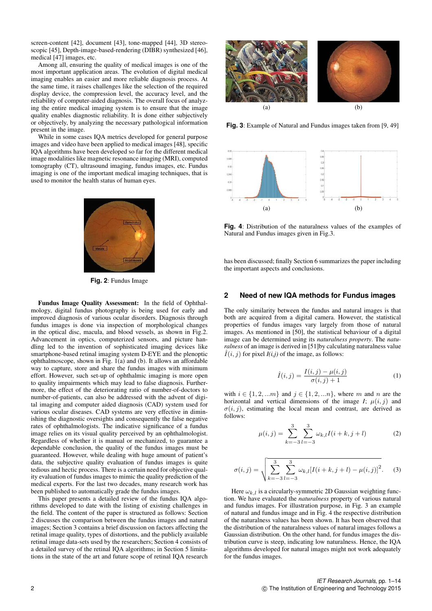screen-content [42], document [43], tone-mapped [44], 3D stereoscopic [45], Depth-image-based-rendering (DIBR) synthesized [46], medical [47] images, etc.

Among all, ensuring the quality of medical images is one of the most important application areas. The evolution of digital medical imaging enables an easier and more reliable diagnosis process. At the same time, it raises challenges like the selection of the required display device, the compression level, the accuracy level, and the reliability of computer-aided diagnosis. The overall focus of analyzing the entire medical imaging system is to ensure that the image quality enables diagnostic reliability. It is done either subjectively or objectively, by analyzing the necessary pathological information present in the image.

While in some cases IQA metrics developed for general purpose images and video have been applied to medical images [48], specific IQA algorithms have been developed so far for the different medical image modalities like magnetic resonance imaging (MRI), computed tomography (CT), ultrasound imaging, fundus images, etc. Fundus imaging is one of the important medical imaging techniques, that is used to monitor the health status of human eyes.



**Fig. 2**: Fundus Image

Fundus Image Quality Assessment: In the field of Ophthalmology, digital fundus photography is being used for early and improved diagnosis of various ocular disorders. Diagnosis through fundus images is done via inspection of morphological changes in the optical disc, macula, and blood vessels, as shown in Fig.2. Advancement in optics, computerized sensors, and picture handling led to the invention of sophisticated imaging devices like smartphone-based retinal imaging system D-EYE and the plenoptic ophthalmoscope, shown in Fig. 1(a) and (b). It allows an affordable way to capture, store and share the fundus images with minimum effort. However, such set-up of ophthalmic imaging is more open to quality impairments which may lead to false diagnosis. Furthermore, the effect of the deteriorating ratio of number-of-doctors to number-of-patients, can also be addressed with the advent of digital imaging and computer aided diagnosis (CAD) system used for various ocular diseases. CAD systems are very effective in diminishing the diagnostic oversights and consequently the false negative rates of ophthalmologists. The indicative significance of a fundus image relies on its visual quality perceived by an ophthalmologist. Regardless of whether it is manual or mechanized, to guarantee a dependable conclusion, the quality of the fundus images must be guaranteed. However, while dealing with huge amount of patient's data, the subjective quality evaluation of fundus images is quite tedious and hectic process. There is a certain need for objective quality evaluation of fundus images to mimic the quality prediction of the medical experts. For the last two decades, many research work has been published to automatically grade the fundus images.

This paper presents a detailed review of the fundus IQA algorithms developed to date with the listing of existing challenges in the field. The content of the paper is structured as follows: Section 2 discusses the comparison between the fundus images and natural images; Section 3 contains a brief discussion on factors affecting the retinal image quality, types of distortions, and the publicly available retinal image data-sets used by the researchers; Section 4 consists of a detailed survey of the retinal IQA algorithms; in Section 5 limitations in the state of the art and future scope of retinal IQA research



**Fig. 3**: Example of Natural and Fundus images taken from [9, 49]



**Fig. 4**: Distribution of the naturalness values of the examples of Natural and Fundus images given in Fig.3.

has been discussed; finally Section 6 summarizes the paper including the important aspects and conclusions.

## **2 Need of new IQA methods for Fundus images**

The only similarity between the fundus and natural images is that both are acquired from a digital camera. However, the statistical properties of fundus images vary largely from those of natural images. As mentioned in [50], the statistical behaviour of a digital image can be determined using its *naturalness property*. The *naturalness* of an image is derived in [51]by calculating naturalness value  $\hat{I}(i, j)$  for pixel  $I(i, j)$  of the image, as follows:

$$
\hat{I}(i,j) = \frac{I(i,j) - \mu(i,j)}{\sigma(i,j) + 1}
$$
 (1)

with  $i \in \{1, 2, ..., m\}$  and  $j \in \{1, 2, ..., n\}$ , where m and n are the horizontal and vertical dimensions of the image  $I$ ;  $\mu(i, j)$  and  $\sigma(i, j)$ , estimating the local mean and contrast, are derived as follows:

$$
\mu(i,j) = \sum_{k=-3}^{3} \sum_{l=-3}^{3} \omega_{k,l} I(i+k, j+l)
$$
 (2)

$$
\sigma(i,j) = \sqrt{\sum_{k=-3}^{3} \sum_{l=-3}^{3} \omega_{k,l} [I(i+k,j+l) - \mu(i,j)]^2}.
$$
 (3)

Here  $\omega_{k,l}$  is a circularly-symmetric 2D Gaussian weighting function. We have evaluated the *naturalness* property of various natural and fundus images. For illustration purpose, in Fig. 3 an example of natural and fundus image and in Fig. 4 the respective distribution of the naturalness values has been shown. It has been observed that the distribution of the naturalness values of natural images follows a Gaussian distribution. On the other hand, for fundus images the distribution curve is steep, indicating low naturalness. Hence, the IQA algorithms developed for natural images might not work adequately for the fundus images.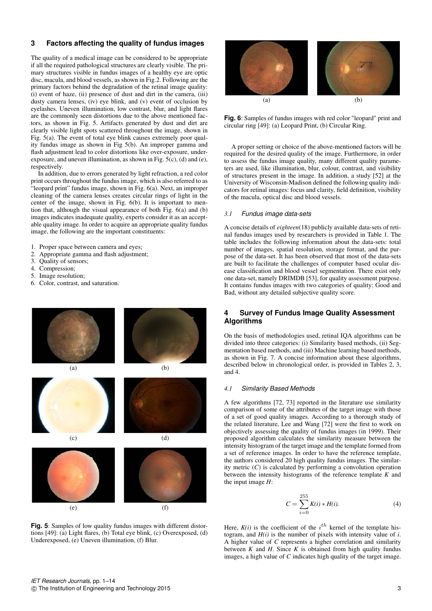# **3 Factors affecting the quality of fundus images**

The quality of a medical image can be considered to be appropriate if all the required pathological structures are clearly visible. The primary structures visible in fundus images of a healthy eye are optic disc, macula, and blood vessels, as shown in Fig.2. Following are the primary factors behind the degradation of the retinal image quality: (i) event of haze, (ii) presence of dust and dirt in the camera, (iii) dusty camera lenses, (iv) eye blink, and (v) event of occlusion by eyelashes. Uneven illumination, low contrast, blur, and light flares are the commonly seen distortions due to the above mentioned factors, as shown in Fig. 5. Artifacts generated by dust and dirt are clearly visible light spots scattered throughout the image, shown in Fig. 5(a). The event of total eye blink causes extremely poor quality fundus image as shown in Fig 5(b). An improper gamma and flash adjustment lead to color distortions like over-exposure, underexposure, and uneven illumination, as shown in Fig. 5(c), (d) and (e), respectively.

In addition, due to errors generated by light refraction, a red color print occurs throughout the fundus image, which is also referred to as "leopard print" fundus image, shown in Fig. 6(a). Next, an improper cleaning of the camera lenses creates circular rings of light in the center of the image, shown in Fig. 6(b). It is important to mention that, although the visual appearance of both Fig. 6(a) and (b) images indicates inadequate quality, experts consider it as an acceptable quality image. In order to acquire an appropriate quality fundus image, the following are the important constituents:

- 1. Proper space between camera and eyes;
- 2. Appropriate gamma and flash adjustment;
- 3. Quality of sensors;
- 4. Compression;
- 5. Image resolution;
- 6. Color, contrast, and saturation.



**Fig. 5**: Samples of low quality fundus images with different distortions [49]: (a) Light flares, (b) Total eye blink, (c) Overexposed, (d) Underexposed, (e) Uneven illumination, (f) Blur.



**Fig. 6**: Samples of fundus images with red color "leopard" print and circular ring [49]: (a) Leopard Print, (b) Circular Ring.

A proper setting or choice of the above-mentioned factors will be required for the desired quality of the image. Furthermore, in order to assess the fundus image quality, many different quality parameters are used, like illumination, blur, colour, contrast, and visibility of structures present in the image. In addition, a study [52] at the University of Wisconsin-Madison defined the following quality indicators for retinal images: focus and clarity, field definition, visibility of the macula, optical disc and blood vessels.

## *3.1 Fundus image data-sets*

A concise details of *eighteen*(18) publicly available data-sets of retinal fundus images used by researchers is provided in Table 1. The table includes the following information about the data-sets: total number of images, spatial resolution, storage format, and the purpose of the data-set. It has been observed that most of the data-sets are built to facilitate the challenges of computer based ocular disease classification and blood vessel segmentation. There exist only one data-set, namely DRIMDB [53], for quality assessment purpose. It contains fundus images with two categories of quality: Good and Bad, without any detailed subjective quality score.

# **4 Survey of Fundus Image Quality Assessment Algorithms**

On the basis of methodologies used, retinal IQA algorithms can be divided into three categories: (i) Similarity based methods, (ii) Segmentation based methods, and (iii) Machine learning based methods, as shown in Fig. 7. A concise information about these algorithms, described below in chronological order, is provided in Tables 2, 3, and 4.

# *4.1 Similarity Based Methods*

A few algorithms [72, 73] reported in the literature use similarity comparison of some of the attributes of the target image with those of a set of good quality images. According to a thorough study of the related literature, Lee and Wang [72] were the first to work on objectively assessing the quality of fundus images (in 1999). Their proposed algorithm calculates the similarity measure between the intensity histogram of the target image and the template formed from a set of reference images. In order to have the reference template, the authors considered 20 high quality fundus images. The similarity metric (*C*) is calculated by performing a convolution operation between the intensity histograms of the reference template *K* and the input image *H*:

$$
C = \sum_{i=0}^{255} K(i) * H(i).
$$
 (4)

Here,  $K(i)$  is the coefficient of the  $i<sup>th</sup>$  kernel of the template histogram, and *H(i)* is the number of pixels with intensity value of *i*. A higher value of *C* represents a higher correlation and similarity between  $K$  and  $H$ . Since  $K$  is obtained from high quality fundus images, a high value of *C* indicates high quality of the target image.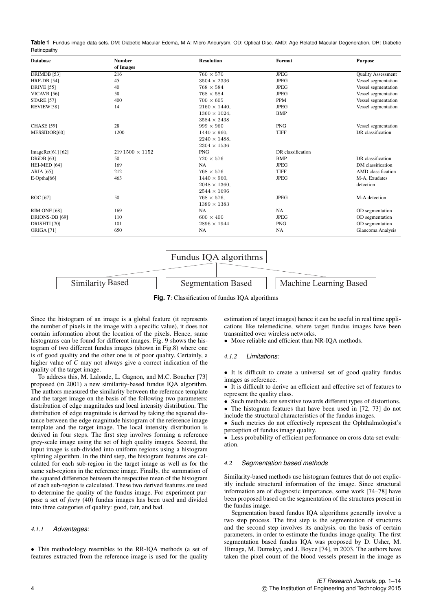**Table 1** Fundus image data-sets. DM: Diabetic Macular-Edema, M-A: Micro-Aneurysm, OD: Optical Disc, AMD: Age-Related Macular Degeneration, DR: Diabetic Retinopathy

| <b>Database</b>        | <b>Number</b>         | <b>Resolution</b>    | Format            | <b>Purpose</b>            |
|------------------------|-----------------------|----------------------|-------------------|---------------------------|
|                        | of Images             |                      |                   |                           |
| DRIMDB [53]            | 216                   | $760 \times 570$     | <b>JPEG</b>       | <b>Quality Assessment</b> |
| <b>HRF-DB</b> [54]     | 45                    | $3504 \times 2336$   | <b>JPEG</b>       | Vessel segmentation       |
| <b>DRIVE</b> [55]      | 40                    | $768 \times 584$     | <b>JPEG</b>       | Vessel segmentation       |
| VICAVR <sub>[56]</sub> | 58                    | $768 \times 584$     | <b>JPEG</b>       | Vessel segmentation       |
| <b>STARE [57]</b>      | 400                   | $700 \times 605$     | <b>PPM</b>        | Vessel segmentation       |
| REVIEW[58]             | 14                    | $2160 \times 1440$ . | <b>JPEG</b>       | Vessel segmentation       |
|                        |                       | $1360 \times 1024$ , | <b>BMP</b>        |                           |
|                        |                       | $3584 \times 2438$   |                   |                           |
| <b>CHASE</b> [59]      | 28                    | $999 \times 960$     | <b>PNG</b>        | Vessel segmentation       |
| MESSIDOR[60]           | 1200                  | $1440 \times 960,$   | <b>TIFF</b>       | DR classification         |
|                        |                       | $2240 \times 1488$ , |                   |                           |
|                        |                       | $2304 \times 1536$   |                   |                           |
| ImageRet $[61]$ $[62]$ | $2191500 \times 1152$ | <b>PNG</b>           | DR classification |                           |
| <b>DRiDB</b> [63]      | 50                    | $720 \times 576$     | <b>BMP</b>        | DR classification         |
| HEI-MED [64]           | 169                   | <b>NA</b>            | <b>JPEG</b>       | DM classification         |
| ARIA [65]              | 212                   | $768 \times 576$     | <b>TIFF</b>       | AMD classification        |
| $E$ -Optha $[66]$      | 463                   | $1440 \times 960$ ,  | <b>JPEG</b>       | M-A, Exudates             |
|                        |                       | $2048 \times 1360$ . |                   | detection                 |
|                        |                       | $2544 \times 1696$   |                   |                           |
| ROC [67]               | 50                    | $768 \times 576$ ,   | <b>JPEG</b>       | M-A detection             |
|                        |                       | $1389 \times 1383$   |                   |                           |
| <b>RIM ONE [68]</b>    | 169                   | NA                   | <b>NA</b>         | OD segmentation           |
| DRIONS-DB [69]         | 110                   | $600 \times 400$     | <b>JPEG</b>       | OD segmentation           |
| DRISHTI [70]           | 101                   | $2896 \times 1944$   | <b>PNG</b>        | OD segmentation           |
| <b>ORIGA</b> [71]      | 650                   | <b>NA</b>            | <b>NA</b>         | Glaucoma Analysis         |
|                        |                       |                      |                   |                           |



**Fig. 7**: Classification of fundus IQA algorithms

Since the histogram of an image is a global feature (it represents the number of pixels in the image with a specific value), it does not contain information about the location of the pixels. Hence, same histograms can be found for different images. Fig. 9 shows the histogram of two different fundus images (shown in Fig.8) where one is of good quality and the other one is of poor quality. Certainly, a higher value of *C* may not always give a correct indication of the quality of the target image.

To address this, M. Lalonde, L. Gagnon, and M.C. Boucher [73] proposed (in 2001) a new similarity-based fundus IQA algorithm. The authors measured the similarity between the reference template and the target image on the basis of the following two parameters: distribution of edge magnitudes and local intensity distribution. The distribution of edge magnitude is derived by taking the squared distance between the edge magnitude histogram of the reference image template and the target image. The local intensity distribution is derived in four steps. The first step involves forming a reference grey-scale image using the set of high quality images. Second, the input image is sub-divided into uniform regions using a histogram splitting algorithm. In the third step, the histogram features are calculated for each sub-region in the target image as well as for the same sub-regions in the reference image. Finally, the summation of the squared difference between the respective mean of the histogram of each sub-region is calculated. These two derived features are used to determine the quality of the fundus image. For experiment purpose a set of *forty* (40) fundus images has been used and divided into three categories of quality: good, fair, and bad.

# *4.1.1 Advantages:*

• This methodology resembles to the RR-IQA methods (a set of features extracted from the reference image is used for the quality estimation of target images) hence it can be useful in real time applications like telemedicine, where target fundus images have been transmitted over wireless networks.

• More reliable and efficient than NR-IOA methods.

#### *4.1.2 Limitations:*

• It is difficult to create a universal set of good quality fundus images as reference.

• It is difficult to derive an efficient and effective set of features to represent the quality class.

• Such methods are sensitive towards different types of distortions.

• The histogram features that have been used in [72, 73] do not include the structural characteristics of the fundus images.

• Such metrics do not effectively represent the Ophthalmologist's perception of fundus image quality.

• Less probability of efficient performance on cross data-set evaluation.

## *4.2 Segmentation based methods*

Similarity-based methods use histogram features that do not explicitly include structural information of the image. Since structural information are of diagnostic importance, some work [74–78] have been proposed based on the segmentation of the structures present in the fundus image.

Segmentation based fundus IQA algorithms generally involve a two step process. The first step is the segmentation of structures and the second step involves its analysis, on the basis of certain parameters, in order to estimate the fundus image quality. The first segmentation based fundus IQA was proposed by D. Usher, M. Himaga, M. Dumskyj, and J. Boyce [74], in 2003. The authors have taken the pixel count of the blood vessels present in the image as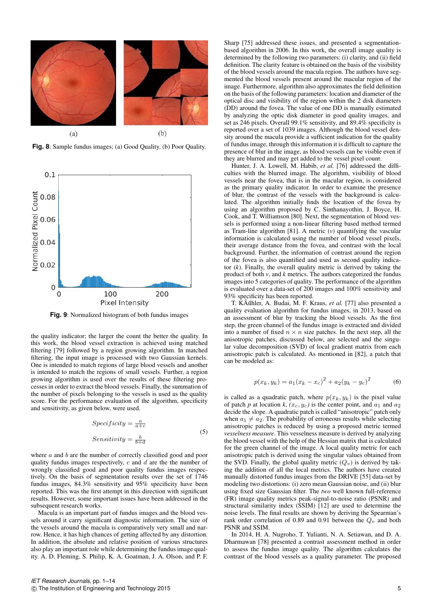

**Fig. 8**: Sample fundus images; (a) Good Quality, (b) Poor Quality.



**Fig. 9**: Normalized histogram of both fundus images

the quality indicator; the larger the count the better the quality. In this work, the blood vessel extraction is achieved using matched filtering [79] followed by a region growing algorithm. In matched filtering, the input image is processed with two Gaussian kernels. One is intended to match regions of large blood vessels and another is intended to match the regions of small vessels. Further, a region growing algorithm is used over the results of these filtering processes in order to extract the blood vessels. Finally, the summation of the number of pixels belonging to the vessels is used as the quality score. For the performance evaluation of the algorithm, specificity and sensitivity, as given below, were used.

$$
Specificity = \frac{a}{a+c}
$$
  
\n
$$
Sensitivity = \frac{b}{b+d}
$$
 (5)

where *a* and *b* are the number of correctly classified good and poor quality fundus images respectively,  $c$  and  $d$  are the number of wrongly classified good and poor quality fundus images respectively. On the basis of segmentation results over the set of 1746 fundus images, 84.3% sensitivity and 95% specificity have been reported. This was the first attempt in this direction with significant results. However, some important issues have been addressed in the subsequent research works.

Macula is an important part of fundus images and the blood vessels around it carry significant diagnostic information. The size of the vessels around the macula is comparatively very small and narrow. Hence, it has high chances of getting affected by any distortion. In addition, the absolute and relative position of various structures also play an important role while determining the fundus image quality. A. D. Fleming, S. Philip, K. A. Goatman, J. A. Olson, and P. F.

Sharp [75] addressed these issues, and presented a segmentationbased algorithm in 2006. In this work, the overall image quality is determined by the following two parameters: (i) clarity, and (ii) field definition. The clarity feature is obtained on the basis of the visibility of the blood vessels around the macula region. The authors have segmented the blood vessels present around the macular region of the image. Furthermore, algorithm also approximates the field definition on the basis of the following parameters: location and diameter of the optical disc and visibility of the region within the 2 disk diameters (DD) around the fovea. The value of one DD is manually estimated by analyzing the optic disk diameter in good quality images, and set as 246 pixels. Overall 99.1% sensitivity, and 89.4% specificity is reported over a set of 1039 images. Although the blood vessel density around the macula provide a sufficient indication for the quality of fundus image, through this information it is difficult to capture the presence of blur in the image, as blood vessels can be visible even if they are blurred and may get added to the vessel pixel count.

Hunter, J. A. Lowell, M. Habib, *et al.* [76] addressed the difficulties with the blurred image. The algorithm, visibility of blood vessels near the fovea, that is in the macular region, is considered as the primary quality indicator. In order to examine the presence of blur, the contrast of the vessels with the background is calculated. The algorithm initially finds the location of the fovea by using an algorithm proposed by C. Sinthanayothin, J. Boyce, H. Cook, and T. Williamson [80]. Next, the segmentation of blood vessels is performed using a non-linear filtering based method termed as Tram-line algorithm [81]. A metric (*v*) quantifying the vascular information is calculated using the number of blood vessel pixels, their average distance from the fovea, and contrast with the local background. Further, the information of contrast around the region of the fovea is also quantified and used as second quality indicator  $(k)$ . Finally, the overall quality metric is derived by taking the product of both *v*, and *k* metrics. The authors categorized the fundus images into 5 categories of quality. The performance of the algorithm is evaluated over a data-set of 200 images and 100% sensitivity and 93% specificity has been reported.

T. KÃűhler, A. Budai, M. F. Kraus, et al. [77] also presented a quality evaluation algorithm for fundus images, in 2013, based on an assessment of blur by tracking the blood vessels. As the first step, the green channel of the fundus image is extracted and divided into a number of fixed  $n \times n$  size patches. In the next step, all the anisotropic patches, discussed below, are selected and the singular value decomposition (SVD) of local gradient matrix from each anisotropic patch is calculated. As mentioned in [82], a patch that can be modeled as:

$$
p(x_k, y_k) = a_1(x_k - x_c)^2 + a_2(y_k - y_c)^2
$$
 (6)

is called as a quadratic patch, where  $p(x_k, y_k)$  is the pixel value of patch *p* at location *k*,  $(x_c, y_c)$  is the center point, and  $a_1$  and  $a_2$ decide the slope. A quadratic patch is called "anisotropic" patch only when  $a_1 \neq a_2$ . The probability of erroneous results while selecting anisotropic patches is reduced by using a proposed metric termed *vesselness measure*. This vesselness measure is derived by analyzing the blood vessel with the help of the Hessian matrix that is calculated for the green channel of the image. A local quality metric for each anisotropic patch is derived using the singular values obtained from the SVD. Finally, the global quality metric  $(Q_v)$  is derived by taking the addition of all the local metrics. The authors have created manually distorted fundus images from the DRIVE [55] data-set by modeling two distortions: (i) zero mean Gaussian noise, and (ii) blur using fixed size Gaussian filter. The *two* well known full-reference (FR) image quality metrics peak-signal-to-noise ratio (PSNR) and structural similarity index (SSIM) [12] are used to determine the noise levels. The final results are shown by deriving the Spearman's rank order correlation of 0.89 and 0.91 between the  $Q_v$  and both PSNR and SSIM.

In 2014, H. A. Nugroho, T. Yulianti, N. A. Setiawan, and D. A. Dharmawan [78] presented a contrast assessment method in order to assess the fundus image quality. The algorithm calculates the contrast of the blood vessels as a quality parameter. The proposed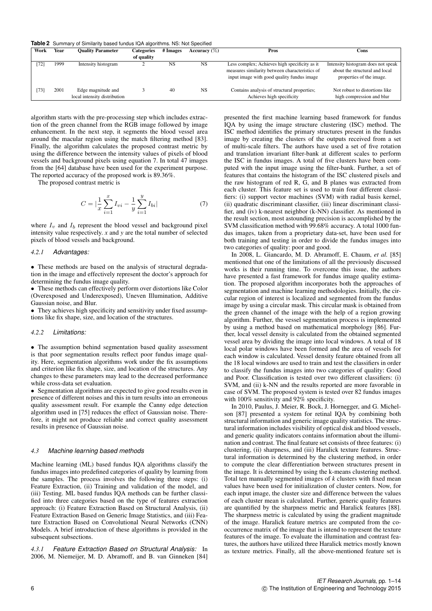**Table 2** Summary of Similarity based fundus IQA algorithms. NS: Not Specified

| Work | Year | <b>Ouality Parameter</b>                           | Categories | # Images  | Accuracy $(\%)$ | Pros                                                                                                                                          | Cons                                                                                             |
|------|------|----------------------------------------------------|------------|-----------|-----------------|-----------------------------------------------------------------------------------------------------------------------------------------------|--------------------------------------------------------------------------------------------------|
|      |      |                                                    | of quality |           |                 |                                                                                                                                               |                                                                                                  |
| 72]  | 1999 | Intensity histogram                                |            | <b>NS</b> | NS              | Less complex; Achieves high specificity as it<br>measures similarity between characteristics of<br>input image with good quality fundus image | Intensity histogram does not speak<br>about the structural and local<br>properties of the image. |
| 73]  | 2001 | Edge magnitude and<br>local intensity distribution |            | 40        | <b>NS</b>       | Contains analysis of structural properties;<br>Achieves high specificity                                                                      | Not robust to distortions like<br>high compression and blur                                      |

algorithm starts with the pre-processing step which includes extraction of the green channel from the RGB image followed by image enhancement. In the next step, it segments the blood vessel area around the macular region using the match filtering method [83]. Finally, the algorithm calculates the proposed contrast metric by using the difference between the intensity values of pixels of blood vessels and background pixels using equation 7. In total 47 images from the [64] database have been used for the experiment purpose. The reported accuracy of the proposed work is 89.36%.

The proposed contrast metric is

$$
C = |\frac{1}{x}\sum_{i=1}^{x} I_{vi} - \frac{1}{y}\sum_{i=1}^{y} I_{bi}|
$$
 (7)

where  $I_v$  and  $I_b$  represent the blood vessel and background pixel intensity value respectively. *x* and *y* are the total number of selected pixels of blood vessels and background.

#### *4.2.1 Advantages:*

• These methods are based on the analysis of structural degradation in the image and effectively represent the doctor's approach for determining the fundus image quality.

• These methods can effectively perform over distortions like Color (Overexposed and Underexposed), Uneven Illumination, Additive Gaussian noise, and Blur.

• They achieves high specificity and sensitivity under fixed assumptions like fix shape, size, and location of the structures.

#### *4.2.2 Limitations:*

• The assumption behind segmentation based quality assessment is that poor segmentation results reflect poor fundus image quality. Here, segmentation algorithms work under the fix assumptions and criterion like fix shape, size, and location of the structures. Any changes to these parameters may lead to the decreased performance while cross-data set evaluation.

• Segmentation algorithms are expected to give good results even in presence of different noises and this in turn results into an erroneous quality assessment result. For example the Canny edge detection algorithm used in [75] reduces the effect of Gaussian noise. Therefore, it might not produce reliable and correct quality assessment results in presence of Gaussian noise.

#### *4.3 Machine learning based methods*

Machine learning (ML) based fundus IQA algorithms classify the fundus images into predefined categories of quality by learning from the samples. The process involves the following three steps: (i) Feature Extraction, (ii) Training and validation of the model, and (iii) Testing. ML based fundus IQA methods can be further classified into three categories based on the type of features extraction approach: (i) Feature Extraction Based on Structural Analysis, (ii) Feature Extraction Based on Generic Image Statistics, and (iii) Feature Extraction Based on Convolutional Neural Networks (CNN) Models. A brief introduction of these algorithms is provided in the subsequent subsections.

*4.3.1 Feature Extraction Based on Structural Analysis:* In 2006, M. Niemeijer, M. D. Abramoff, and B. van Ginneken [84]

presented the first machine learning based framework for fundus IQA by using the image structure clustering (ISC) method. The ISC method identifies the primary structures present in the fundus image by creating the clusters of the outputs received from a set of multi-scale filters. The authors have used a set of five rotation and translation invariant filter-bank at different scales to perform the ISC in fundus images. A total of five clusters have been computed with the input image using the filter-bank. Further, a set of features that contains the histogram of the ISC clustered pixels and the raw histogram of red R, G, and B planes was extracted from each cluster. This feature set is used to train four different classifiers: (i) support vector machines (SVM) with radial basis kernel, (ii) quadratic discriminant classifier, (iii) linear discriminant classifier, and (iv) k-nearest neighbor (k-NN) classifier. As mentioned in the result section, most astounding precision is accomplished by the SVM classification method with 99.68% accuracy. A total 1000 fundus images, taken from a proprietary data-set, have been used for both training and testing in order to divide the fundus images into two categories of quality: poor and good.

In 2008, L. Giancardo, M. D. Abramoff, E. Chaum, *et al.* [85] mentioned that one of the limitations of all the previously discussed works is their running time. To overcome this issue, the authors have presented a fast framework for fundus image quality estimation. The proposed algorithm incorporates both the approaches of segmentation and machine learning methodologies. Initially, the circular region of interest is localized and segmented from the fundus image by using a circular mask. This circular mask is obtained from the green channel of the image with the help of a region growing algorithm. Further, the vessel segmentation process is implemented by using a method based on mathematical morphology [86]. Further, local vessel density is calculated from the obtained segmented vessel area by dividing the image into local windows. A total of 18 local polar windows have been formed and the area of vessels for each window is calculated. Vessel density feature obtained from all the 18 local windows are used to train and test the classifiers in order to classify the fundus images into two categories of quality: Good and Poor. Classification is tested over two different classifiers: (i) SVM, and (ii) k-NN and the results reported are more favorable in case of SVM. The proposed system is tested over 82 fundus images with 100% sensitivity and 92% specificity.

In 2010, Paulus, J. Meier, R. Bock, J. Hornegger, and G. Michelson [87] presented a system for retinal IQA by combining both structural information and generic image quality statistics. The structural information includes visibility of optical disk and blood vessels, and generic quality indicators contains information about the illumination and contrast. The final feature set consists of three features: (i) clustering, (ii) sharpness, and (iii) Haralick texture features. Structural information is determined by the clustering method, in order to compute the clear differentiation between structures present in the image. It is determined by using the k-means clustering method. Total ten manually segmented images of *k* clusters with fixed mean values have been used for initialization of cluster centers. Now, for each input image, the cluster size and difference between the values of each cluster mean is calculated. Further, generic quality features are quantified by the sharpness metric and Haralick features [88]. The sharpness metric is calculated by using the gradient magnitude of the image. Haralick feature metrics are computed from the cooccurrence matrix of the image that is intend to represent the texture features of the image. To evaluate the illumination and contrast features, the authors have utilized three Haralick metrics mostly known as texture metrics. Finally, all the above-mentioned feature set is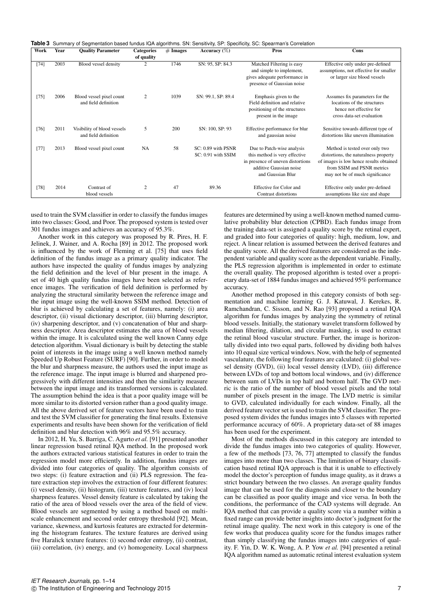Table 3 Summary of Segmentation based fundus IQA algorithms. SN: Sensitivity, SP: Specificity, SC: Spearman's Correlation

| Work   | Year | <b>Ouality Parameter</b>                            | <b>Categories</b><br>of quality | $#$ Images | Accuracy $(\%)$                          | Pros                                                                                                                                             | Cons                                                                                                                                                                                |  |
|--------|------|-----------------------------------------------------|---------------------------------|------------|------------------------------------------|--------------------------------------------------------------------------------------------------------------------------------------------------|-------------------------------------------------------------------------------------------------------------------------------------------------------------------------------------|--|
| $[74]$ | 2003 | Blood vessel density                                | 2                               | 1746       | SN: 95, SP: 84.3                         | Matched Filtering is easy<br>and simple to implement,<br>gives adequate performance in<br>presence of Gaussian noise                             | Effective only under pre-defined<br>assumptions, not effective for smaller<br>or larger size blood vessels                                                                          |  |
| $[75]$ | 2006 | Blood vessel pixel count<br>and field definition    | 2                               | 1039       | SN: 99.1, SP: 89.4                       | Emphasis given to the<br>Field definition and relative<br>positioning of the structures<br>present in the image                                  | Assumes fix parameters for the<br>locations of the structures<br>hence not effective for<br>cross data-set evaluation                                                               |  |
| $[76]$ | 2011 | Visibility of blood vessels<br>and field definition | 5                               | 200        | SN: 100, SP: 93                          | Effective performance for blur<br>and gaussian noise                                                                                             | Sensitive towards different type of<br>distortions like uneven illumination                                                                                                         |  |
| $[77]$ | 2013 | Blood vessel pixel count                            | <b>NA</b>                       | 58         | SC: 0.89 with PSNR<br>SC: 0.91 with SSIM | Due to Patch-wise analysis<br>this method is very effective<br>in presence of uneven distortions<br>additive Gaussian noise<br>and Gaussian Blur | Method is tested over only two<br>distortions, the naturalness property<br>of images is low hence results obtained<br>from SSIM and PSNR metrics<br>may not be of much significance |  |
| $[78]$ | 2014 | Contrast of<br>blood vessels                        | $\overline{c}$                  | 47         | 89.36                                    | Effective for Color and<br>Contrast distortions                                                                                                  | Effective only under pre-defined<br>assumptions like size and shape                                                                                                                 |  |

used to train the SVM classifier in order to classify the fundus images into two classes: Good, and Poor. The proposed system is tested over 301 fundus images and achieves an accuracy of 95.3%.

Another work in this category was proposed by R. Pires, H. F. Jelinek, J. Wainer, and A. Rocha [89] in 2012. The proposed work is influenced by the work of Fleming et al. [75] that uses field definition of the fundus image as a primary quality indicator. The authors have inspected the quality of fundus images by analyzing the field definition and the level of blur present in the image. A set of 40 high quality fundus images have been selected as reference images. The verification of field definition is performed by analyzing the structural similarity between the reference image and the input image using the well-known SSIM method. Detection of blur is achieved by calculating a set of features, namely: (i) area descriptor, (ii) visual dictionary descriptor, (iii) blurring descriptor, (iv) sharpening descriptor, and (v) concatenation of blur and sharpness descriptor. Area descriptor estimates the area of blood vessels within the image. It is calculated using the well known Canny edge detection algorithm. Visual dictionary is built by detecting the stable point of interests in the image using a well known method namely Speeded Up Robust Feature (SURF) [90]. Further, in order to model the blur and sharpness measure, the authors used the input image as the reference image. The input image is blurred and sharpened progressively with different intensities and then the similarity measure between the input image and its transformed versions is calculated. The assumption behind the idea is that a poor quality image will be more similar to its distorted version rather than a good quality image. All the above derived set of feature vectors have been used to train and test the SVM classifier for generating the final results. Extensive experiments and results have been shown for the verification of field definition and blur detection with 96% and 95.5% accuracy.

In 2012, H. Yu, S. Barriga, C. Agurto *et al.* [91] presented another linear regression based retinal IQA method. In the proposed work the authors extracted various statistical features in order to train the regression model more efficiently. In addition, fundus images are divided into four categories of quality. The algorithm consists of two steps: (i) feature extraction and (ii) PLS regression. The feature extraction step involves the extraction of four different features: (i) vessel density, (ii) histogram, (iii) texture features, and (iv) local sharpness features. Vessel density feature is calculated by taking the ratio of the area of blood vessels over the area of the field of view. Blood vessels are segmented by using a method based on multiscale enhancement and second order entropy threshold [92]. Mean, variance, skewness, and kurtosis features are extracted for determining the histogram features. The texture features are derived using five Haralick texture features: (i) second order entropy, (ii) contrast, (iii) correlation, (iv) energy, and (v) homogeneity. Local sharpness

features are determined by using a well-known method named cumulative probability blur detection (CPBD). Each fundus image from the training data-set is assigned a quality score by the retinal expert, and graded into four categories of quality: high, medium, low, and reject. A linear relation is assumed between the derived features and the quality score. All the derived features are considered as the independent variable and quality score as the dependent variable. Finally, the PLS regression algorithm is implemented in order to estimate the overall quality. The proposed algorithm is tested over a proprietary data-set of 1884 fundus images and achieved 95% performance accuracy.

Another method proposed in this category consists of both segmentation and machine learning G. J. Katuwal, J. Kerekes, R. Ramchandran, C. Sisson, and N. Rao [93] proposed a retinal IQA algorithm for fundus images by analyzing the symmetry of retinal blood vessels. Initially, the stationary wavelet transform followed by median filtering, dilation, and circular masking, is used to extract the retinal blood vascular structure. Further, the image is horizontally divided into two equal parts, followed by dividing both halves into 10 equal size vertical windows. Now, with the help of segmented vasculature, the following four features are calculated: (i) global vessel density (GVD), (ii) local vessel density (LVD), (iii) difference between LVDs of top and bottom local windows, and (iv) difference between sum of LVDs in top half and bottom half. The GVD metric is the ratio of the number of blood vessel pixels and the total number of pixels present in the image. The LVD metric is similar to GVD, calculated individually for each window. Finally, all the derived feature vector set is used to train the SVM classifier. The proposed system divides the fundus images into 5 classes with reported performance accuracy of 60%. A proprietary data-set of 88 images has been used for the experiment.

Most of the methods discussed in this category are intended to divide the fundus images into two categories of quality. However, a few of the methods [73, 76, 77] attempted to classify the fundus images into more than two classes. The limitation of binary classification based retinal IQA approach is that it is unable to effectively model the doctor's perception of fundus image quality, as it draws a strict boundary between the two classes. An average quality fundus image that can be used for the diagnosis and closer to the boundary can be classified as poor quality image and vice versa. In both the conditions, the performance of the CAD systems will degrade. An IQA method that can provide a quality score via a number within a fixed range can provide better insights into doctor's judgment for the retinal image quality. The next work in this category is one of the few works that producea quality score for the fundus images rather than simply classifying the fundus images into categories of quality. F. Yin, D. W. K. Wong, A. P. Yow *et al.* [94] presented a retinal IQA algorithm named as automatic retinal interest evaluation system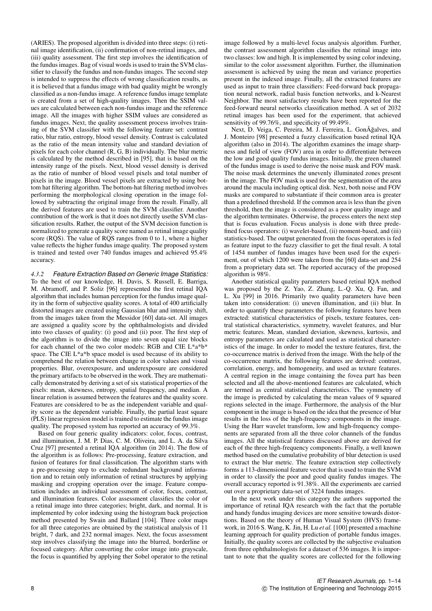(ARIES). The proposed algorithm is divided into three steps: (i) retinal image identification, (ii) confirmation of non-retinal images, and (iii) quality assessment. The first step involves the identification of the fundus images. Bag of visual words is used to train the SVM classifier to classify the fundus and non-fundus images. The second step is intended to suppress the effects of wrong classification results, as it is believed that a fundus image with bad quality might be wrongly classified as a non-fundus image. A reference fundus image template is created from a set of high-quality images. Then the SSIM values are calculated between each non-fundus image and the reference image. All the images with higher SSIM values are considered as fundus images. Next, the quality assessment process involves training of the SVM classifier with the following feature set: contrast ratio, blur ratio, entropy, blood vessel density. Contrast is calculated as the ratio of the mean intensity value and standard deviation of pixels for each color channel (R, G, B) individually. The blur metric is calculated by the method described in [95], that is based on the intensity range of the pixels. Next, blood vessel density is derived as the ratio of number of blood vessel pixels and total number of pixels in the image. Blood vessel pixels are extracted by using bottom hat filtering algorithm. The bottom-hat filtering method involves performing the morphological closing operation in the image followed by subtracting the original image from the result. Finally, all the derived features are used to train the SVM classifier. Another contribution of the work is that it does not directly usethe SVM classification results. Rather, the output of the SVM decision function is normalized to generate a quality score named as retinal image quality score (RQS). The value of RQS ranges from 0 to 1, where a higher value reflects the higher fundus image quality. The proposed system is trained and tested over 740 fundus images and achieved 95.4% accuracy.

*4.3.2 Feature Extraction Based on Generic Image Statistics:* To the best of our knowledge, H. Davis, S. Russell, E. Barriga, M. Abramoff, and P. Soliz [96] represented the first retinal IQA algorithm that includes human perception for the fundus image quality in the form of subjective quality scores. A total of 400 artificially distorted images are created using Gaussian blur and intensity shift, from the images taken from the Messidor [60] data-set. All images are assigned a quality score by the ophthalmologists and divided into two classes of quality: (i) good and (ii) poor. The first step of the algorithm is to divide the image into seven equal size blocks for each channel of the two color models: RGB and CIE L\*a\*b\* space. The CIE L\*a\*b space model is used because of its ability to comprehend the relation between change in color values and visual properties. Blur, overexposure, and underexposure are considered the primary artifacts to be observed in the work. They are mathematically demonstrated by deriving a set of six statistical properties of the pixels: mean, skewness, entropy, spatial frequency, and median. A linear relation is assumed between the features and the quality score. Features are considered to be as the independent variable and quality score as the dependent variable. Finally, the partial least square (PLS) linear regression model is trained to estimate the fundus image quality. The proposed system has reported an accuracy of 99.3%.

Based on four generic quality indicators: color, focus, contrast, and illumination, J. M. P. Dias, C. M. Oliveira, and L. A. da Silva Cruz [97] presented a retinal IQA algorithm (in 2014). The flow of the algorithm is as follows: Pre-processing, feature extraction, and fusion of features for final classification. The algorithm starts with a pre-processing step to exclude redundant background information and to retain only information of retinal structures by applying masking and cropping operation over the image. Feature computation includes an individual assessment of color, focus, contrast, and illumination features. Color assessment classifies the color of a retinal image into three categories; bright, dark, and normal. It is implemented by color indexing using the histogram back projection method presented by Swain and Ballard [104]. Three color maps for all three categories are obtained by the statistical analysis of 11 bright, 7 dark, and 232 normal images. Next, the focus assessment step involves classifying the image into the blurred, borderline or focused category. After converting the color image into grayscale, the focus is quantified by applying ther Sobel operator to the retinal image followed by a multi-level focus analysis algorithm. Further, the contrast assessment algorithm classifies the retinal image into two classes: low and high. It is implemented by using color indexing, similar to the color assessment algorithm. Further, the illumination assessment is achieved by using the mean and variance properties present in the indexed image. Finally, all the extracted features are used as input to train three classifiers: Feed-forward back propagation neural network, radial basis function networks, and k-Nearest Neighbor. The most satisfactory results have been reported for the feed-forward neural networks classification method. A set of 2032 retinal images has been used for the experiment, that achieved sensitivity of 99.76%, and specificity of 99.49%.

Next, D. Veiga, C. Pereira, M. J. Ferreira, L. GonÃğalves, and J. Monteiro [98] presented a fuzzy classification based retinal IQA algorithm (also in 2014). The algorithm examines the image sharpness and field of view (FOV) area in order to differentiate between the low and good quality fundus images. Initially, the green channel of the fundus image is used to derive the noise mask and FOV mask. The noise mask determines the unevenly illuminated zones present in the image. The FOV mask is used for the segmentation of the area around the macula including optical disk. Next, both noise and FOV masks are compared to substantiate if their common area is greater than a predefined threshold. If the common area is less than the given threshold, then the image is considered as a poor quality image and the algorithm terminates. Otherwise, the process enters the next step that is focus evaluation. Focus analysis is done with three predefined focus operators: (i) wavelet-based, (ii) moment-based, and (iii) statistics-based. The output generated from the focus operators is fed as feature input to the fuzzy classifier to get the final result. A total of 1454 number of fundus images have been used for the experiment, out of which 1200 were taken from the [60] data-set and 254 from a proprietary data set. The reported accuracy of the proposed algorithm is 98%.

Another statistical quality parameters based retinal IQA method was proposed by the Z. Yao, Z. Zhang, L.-Q. Xu, Q. Fan, and L. Xu [99] in 2016. Primarily two quality parameters have been taken into consideration: (i) uneven illumination, and (ii) blur. In order to quantify these parameters the following features have been extracted: statistical characteristics of pixels, texture features, central statistical characteristics, symmetry, wavelet features, and blur metric features. Mean, standard deviation, skewness, kurtosis, and entropy parameters are calculated and used as statistical characteristics of the image. In order to model the texture features, first, the co-occurrence matrix is derived from the image. With the help of the co-occurrence matrix, the following features are derived: contrast, correlation, energy, and homogeneity, and used as texture features. A central region in the image containing the fovea part has been selected and all the above-mentioned features are calculated, which are termed as central statistical characteristics. The symmetry of the image is predicted by calculating the mean values of 9 squared regions selected in the image. Furthermore, the analysis of the blur component in the image is based on the idea that the presence of blur results in the loss of the high-frequency components in the image. Using the Harr wavelet transform, low and high-frequency components are separated from all the three color channels of the fundus images. All the statistical features discussed above are derived for each of the three high-frequency components. Finally, a well known method based on the cumulative probability of blur detection is used to extract the blur metric. The feature extraction step collectively forms a 113-dimensional feature vector that is used to train the SVM in order to classify the poor and good quality fundus images. The overall accuracy reported is 91.38%. All the experiments are carried out over a proprietary data-set of 3224 fundus images.

In the next work under this category the authors supported the importance of retinal IQA research with the fact that the portable and handy fundus imaging devices are more sensitive towards distortions. Based on the theory of Human Visual System (HVS) framework, in 2016 S. Wang, K. Jin, H. Lu *et al.* [100] presented a machine learning approach for quality prediction of portable fundus images. Initially, the quality scores are collected by the subjective evaluation from three ophthalmologists for a dataset of 536 images. It is important to note that the quality scores are collected for the following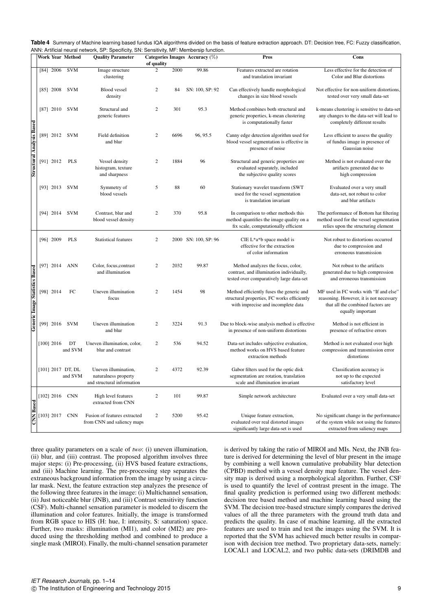| Table 4 Summary of Machine learning based fundus IQA algorithms divided on the basis of feature extraction approach. DT: Decision tree, FC: Fuzzy classification, |
|-------------------------------------------------------------------------------------------------------------------------------------------------------------------|
| ANN: Artificial neural network, SP: Specificity, SN: Sensitivity, MF: Membersip function.                                                                         |

|                                  |              | <b>Work Year Method</b>      | <b>Quality Parameter</b>                                                   | of quality     |      | Categories Images Accuracy (%) | Pros                                                                                                                          | Cons                                                                                                                                        |
|----------------------------------|--------------|------------------------------|----------------------------------------------------------------------------|----------------|------|--------------------------------|-------------------------------------------------------------------------------------------------------------------------------|---------------------------------------------------------------------------------------------------------------------------------------------|
|                                  |              | [84] 2006 SVM                | Image structure<br>clustering                                              | $\overline{c}$ | 2000 | 99.86                          | Features extracted are rotation<br>and translation invariant                                                                  | Less effective for the detection of<br>Color and Blur distortions                                                                           |
| <b>Structural Analysis Based</b> |              | [85] 2008 SVM                | <b>Blood</b> vessel<br>density                                             | $\overline{2}$ | 84   | SN: 100, SP: 92                | Can effectively handle morphological<br>changes in size blood vessels                                                         | Not effective for non-uniform distortions,<br>tested over very small data-set                                                               |
|                                  |              | [87] 2010 SVM                | Structural and<br>generic features                                         | $\overline{2}$ | 301  | 95.3                           | Method combines both structural and<br>generic properties, k-mean clustering<br>is computationally faster                     | k-means clustering is sensitive to data-set<br>any changes to the data-set will lead to<br>completely different results                     |
|                                  |              | [89] 2012 SVM                | Field definition<br>and blur                                               | $\overline{2}$ | 6696 | 96, 95.5                       | Canny edge detection algorithm used for<br>blood vessel segmentation is effective in<br>presence of noise                     | Less efficient to assess the quality<br>of fundus image in presence of<br>Gaussian noise                                                    |
|                                  |              | [91] 2012 PLS                | Vessel density<br>histogram, texture<br>and sharpness                      | $\overline{2}$ | 1884 | 96                             | Structural and generic properties are<br>evaluated separately, included<br>the subjective quality scores                      | Method is not evaluated over the<br>artifacts generated due to<br>high compression                                                          |
|                                  |              | [93] 2013 SVM                | Symmetry of<br>blood vessels                                               | 5              | 88   | 60                             | Stationary wavelet transform (SWT<br>used for the vessel segmentation<br>is translation invariant                             | Evaluated over a very small<br>data-set, not robust to color<br>and blur artifacts                                                          |
|                                  |              | [94] 2014 SVM                | Contrast, blur and<br>blood vessel density                                 | $\overline{2}$ | 370  | 95.8                           | In comparison to other methods this<br>method quantifies the image quality on a<br>fix scale, computationally efficient       | The performance of Bottom hat filtering<br>method used for the vessel segmentation<br>relies upon the structuring element                   |
|                                  | $[96]$ 2009  | <b>PLS</b>                   | <b>Statistical features</b>                                                | 2              |      | 2000 SN: 100, SP: 96           | CIE L*a*b space model is<br>effective for the extraction<br>of color information                                              | Not robust to distortions occurred<br>due to compression and<br>erroneous transmission                                                      |
|                                  | $[97]$ 2014  | <b>ANN</b>                   | Color, focus, contrast<br>and illumination                                 | $\overline{2}$ | 2032 | 99.87                          | Method analyzes the focus, color,<br>contrast, and illumination individually,<br>tested over comparatively large data-set     | Not robust to the artifacts<br>generated due to high compression<br>and erroneous transmission                                              |
| Generic Image Statistics Based   | [98] 2014    | ${\rm FC}$                   | Uneven illumination<br>focus                                               | $\overline{2}$ | 1454 | 98                             | Method efficiently fuses the generic and<br>structural properties, FC works efficiently<br>with imprecise and incomplete data | MF used in FC works with "If and else"<br>reasoning. However, it is not necessary<br>that all the combined factors are<br>equally important |
|                                  |              | [99] 2016 SVM                | Uneven illumination<br>and blur                                            | $\overline{c}$ | 3224 | 91.3                           | Due to block-wise analysis method is effective<br>in presence of non-uniform distortions                                      | Method is not efficient in<br>presence of refractive errors                                                                                 |
|                                  | $[100]$ 2016 | DT<br>and SVM                | Uneven illumination, color,<br>blur and contrast                           | $\overline{2}$ | 536  | 94.52                          | Data-set includes subjective evaluation,<br>method works on HVS based feature<br>extraction methods                           | Method is not evaluated over high<br>compression and transmission error<br>distortions                                                      |
|                                  |              | [101] 2017 DT, DL<br>and SVM | Uneven illumination,<br>naturalness property<br>and structural information | $\overline{c}$ | 4372 | 92.39                          | Gabor filters used for the optic disk<br>segmentation are rotation, translation<br>scale and illumination invariant           | Classification accuracy is<br>not up to the expected<br>satisfactory level                                                                  |
|                                  |              | [102] 2016 CNN               | High level features<br>extracted from CNN                                  | 2              | 101  | 99.87                          | Simple network architecture                                                                                                   | Evaluated over a very small data-set                                                                                                        |
| <b>CNN Based</b>                 | $[103]$ 2017 | <b>CNN</b>                   | Fusion of features extracted<br>from CNN and saliency maps                 | $\overline{2}$ | 5200 | 95.42                          | Unique feature extraction,<br>evaluated over real distorted images<br>significantly large data-set is used                    | No significant change in the performance<br>of the system while not using the features<br>extracted from saliency maps                      |

three quality parameters on a scale of *two*: (i) uneven illumination, (ii) blur, and (iii) contrast. The proposed algorithm involves three major steps: (i) Pre-processing, (ii) HVS based feature extractions, and (iii) Machine learning. The pre-processing step separates the extraneous background information from the image by using a circular mask. Next, the feature extraction step analyzes the presence of the following three features in the image: (i) Multichannel sensation, (ii) Just noticeable blur (JNB), and (iii) Contrast sensitivity function (CSF). Multi-channel sensation parameter is modeled to discern the illumination and color features. Initially, the image is transformed from RGB space to HIS (H: hue, I: intensity, S: saturation) space. Further, two masks: illumination (MI1), and color (MI2) are produced using the thresholding method and combined to produce a single mask (MIROI). Finally, the multi-channel sensation parameter

is derived by taking the ratio of MIROI and MIs. Next, the JNB feature is derived for determining the level of blur present in the image by combining a well known cumulative probability blur detection (CPBD) method with a vessel density map feature. The vessel density map is derived using a morphological algorithm. Further, CSF is used to quantify the level of contrast present in the image. The final quality prediction is performed using two different methods: decision tree based method and machine learning based using the SVM. The decision tree-based structure simply compares the derived values of all the three parameters with the ground truth data and predicts the quality. In case of machine learning, all the extracted features are used to train and test the images using the SVM. It is reported that the SVM has achieved much better results in comparison with decision tree method. Two proprietary data-sets, namely: LOCAL1 and LOCAL2, and two public data-sets (DRIMDB and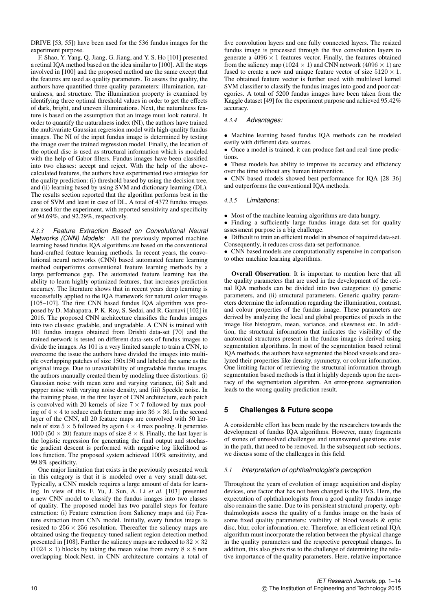DRIVE [53, 55]) have been used for the 536 fundus images for the experiment purpose.

F. Shao, Y. Yang, Q. Jiang, G. Jiang, and Y. S. Ho [101] presented a retinal IQA method based on the idea similar to [100]. All the steps involved in [100] and the proposed method are the same except that the features are used as quality parameters. To assess the quality, the authors have quantified three quality parameters: illumination, naturalness, and structure. The illumination property is examined by identifying three optimal threshold values in order to get the effects of dark, bright, and uneven illuminations. Next, the naturalness feature is based on the assumption that an image must look natural. In order to quantify the naturalness index (NI), the authors have trained the multivariate Gaussian regression model with high-quality fundus images. The NI of the input fundus image is determined by testing the image over the trained regression model. Finally, the location of the optical disc is used as structural information which is modeled with the help of Gabor filters. Fundus images have been classified into two classes: accept and reject. With the help of the abovecalculated features, the authors have experimented two strategies for the quality prediction: (i) threshold based by using the decision tree, and (ii) learning based by using SVM and dictionary learning (DL). The results section reported that the algorithm performs best in the case of SVM and least in case of DL. A total of 4372 fundus images are used for the experiment, with reported sensitivity and specificity of 94.69%, and 92.29%, respectively.

*4.3.3 Feature Extraction Based on Convolutional Neural Networks (CNN) Models:* All the previously reported machine learning based fundus IQA algorithms are based on the conventional hand-crafted feature learning methods. In recent years, the convolutional neural networks (CNN) based automated feature learning method outperforms conventional feature learning methods by a large performance gap. The automated feature learning has the ability to learn highly optimized features, that increases prediction accuracy. The literature shows that in recent years deep learning is successfully applied to the IQA framework for natural color images [105–107]. The first CNN based fundus IQA algorithm was proposed by D. Mahapatra, P. K. Roy, S. Sedai, and R. Garnavi [102] in 2016. The proposed CNN architecture classifies the fundus images into two classes: gradable, and ungradable. A CNN is trained with 101 fundus images obtained from Drishti data-set [70] and the trained network is tested on different data-sets of fundus images to divide the images. As 101 is a very limited sample to train a CNN, to overcome the issue the authors have divided the images into multiple overlapping patches of size 150x150 and labeled the same as the original image. Due to unavailability of ungradable fundus images, the authors manually created them by modeling three distortions: (i) Gaussian noise with mean zero and varying variance, (ii) Salt and pepper noise with varying noise density, and (iii) Speckle noise. In the training phase, in the first layer of CNN architecture, each patch is convolved with 20 kernels of size  $7 \times 7$  followed by max pooling of  $4 \times 4$  to reduce each feature map into  $36 \times 36$ . In the second layer of the CNN, all 20 feature maps are convolved with 50 kernels of size  $5 \times 5$  followed by again  $4 \times 4$  max pooling. It generates 1000 (50  $\times$  20) feature maps of size 8  $\times$  8. Finally, the last layer is the logistic regression for generating the final output and stochastic gradient descent is performed with negative log likelihood as loss function. The proposed system achieved 100% sensitivity, and 99.8% specificity.

One major limitation that exists in the previously presented work in this category is that it is modeled over a very small data-set. Typically, a CNN models requires a large amount of data for learning. In view of this, F. Yu, J. Sun, A. Li *et al.* [103] presented a new CNN model to classify the fundus images into two classes of quality. The proposed model has two parallel steps for feature extraction: (i) Feature extraction from Saliency maps and (ii) Feature extraction from CNN model. Initially, every fundus image is resized to  $256 \times 256$  resolution. Thereafter the saliency maps are obtained using the frequency-tuned salient region detection method presented in [108]. Further the saliency maps are reduced to  $32 \times 32$  $(1024 \times 1)$  blocks by taking the mean value from every  $8 \times 8$  non overlapping block.Next, in CNN architecture contains a total of

five convolution layers and one fully connected layers. The resized fundus image is processed through the five convolution layers to generate a  $4096 \times 1$  features vector. Finally, the features obtained from the saliency map (1024  $\times$  1) and CNN network (4096  $\times$  1) are fused to create a new and unique feature vector of size  $5120 \times 1$ . The obtained feature vector is further used with multilevel kernel SVM classifier to classify the fundus images into good and poor categories. A total of 5200 fundus images have been taken from the Kaggle dataset [49] for the experiment purpose and achieved 95.42% accuracy.

## *4.3.4 Advantages:*

• Machine learning based fundus IQA methods can be modeled easily with different data sources.

• Once a model is trained, it can produce fast and real-time predictions.

• These models has ability to improve its accuracy and efficiency over the time without any human intervention.

• CNN based models showed best performance for IQA [28–36] and outperforms the conventional IQA methods.

## *4.3.5 Limitations:*

• Most of the machine learning algorithms are data hungry.

• Finding a sufficiently large fundus image data-set for quality assessment purpose is a big challenge.

• Difficult to train an efficient model in absence of required data-set. Consequently, it reduces cross data-set performance.

• CNN based models are computationally expensive in comparison to other machine learning algorithms.

Overall Observation: It is important to mention here that all the quality parameters that are used in the development of the retinal IQA methods can be divided into two categories: (i) generic parameters, and (ii) structural parameters. Generic quality parameters determine the information regarding the illumination, contrast, and colour properties of the fundus image. These parameters are derived by analyzing the local and global properties of pixels in the image like histogram, mean, variance, and skewness etc. In addition, the structural information that indicates the visibility of the anatomical structures present in the fundus image is derived using segmentation algorithms. In most of the segmentation based retinal IQA methods, the authors have segmented the blood vessels and analyzed their properties like density, symmetry, or colour information. One limiting factor of retrieving the structural information through segmentation based methods is that it highly depends upon the accuracy of the segmentation algorithm. An error-prone segmentation leads to the wrong quality prediction result.

# **5 Challenges & Future scope**

A considerable effort has been made by the researchers towards the development of fundus IQA algorithms. However, many fragments of stones of unresolved challenges and unanswered questions exist in the path, that need to be removed. In the subsequent sub-sections, we discuss some of the challenges in this field.

#### *5.1 Interpretation of ophthalmologist's perception*

Throughout the years of evolution of image acquisition and display devices, one factor that has not been changed is the HVS. Here, the expectation of ophthalmologists from a good quality fundus image also remains the same. Due to its persistent structural property, ophthalmologists assess the quality of a fundus image on the basis of some fixed quality parameters: visibility of blood vessels & optic disc, blur, color information, etc. Therefore, an efficient retinal IQA algorithm must incorporate the relation between the physical change in the quality parameters and the respective perceptual changes. In addition, this also gives rise to the challenge of determining the relative importance of the quality parameters. Here, relative importance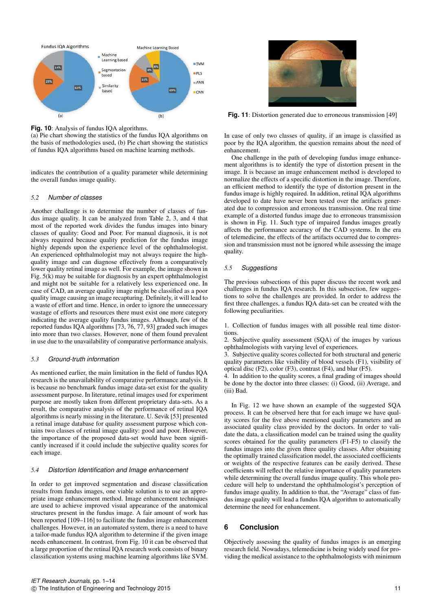

**Fig. 10**: Analysis of fundus IQA algorithms.

(a) Pie chart showing the statistics of the fundus IQA algorithms on the basis of methodologies used, (b) Pie chart showing the statistics of fundus IQA algorithms based on machine learning methods.

indicates the contribution of a quality parameter while determining the overall fundus image quality.

# *5.2 Number of classes*

Another challenge is to determine the number of classes of fundus image quality. It can be analyzed from Table 2, 3, and 4 that most of the reported work divides the fundus images into binary classes of quality: Good and Poor. For manual diagnosis, it is not always required because quality prediction for the fundus image highly depends upon the experience level of the ophthalmologist. An experienced ophthalmologist may not always require the highquality image and can diagnose effectively from a comparatively lower quality retinal image as well. For example, the image shown in Fig. 5(k) may be suitable for diagnosis by an expert ophthalmologist and might not be suitable for a relatively less experienced one. In case of CAD, an average quality image might be classified as a poor quality image causing an image recapturing. Definitely, it will lead to a waste of effort and time. Hence, in order to ignore the unnecessary wastage of efforts and resources there must exist one more category indicating the average quality fundus images. Although, few of the reported fundus IQA algorithms [73, 76, 77, 93] graded such images into more than two classes. However, none of them found prevalent in use due to the unavailability of comparative performance analysis.

#### *5.3 Ground-truth information*

As mentioned earlier, the main limitation in the field of fundus IQA research is the unavailability of comparative performance analysis. It is because no benchmark fundus image data-set exist for the quality assessment purpose. In literature, retinal images used for experiment purpose are mostly taken from different proprietary data-sets. As a result, the comparative analysis of the performance of retinal IQA algorithms is nearly missing in the literature. U. Sevik [53] presented a retinal image database for quality assessment purpose which contains two classes of retinal image quality: good and poor. However, the importance of the proposed data-set would have been significantly increased if it could include the subjective quality scores for each image.

#### *5.4 Distortion Identification and Image enhancement*

In order to get improved segmentation and disease classification results from fundus images, one viable solution is to use an appropriate image enhancement method. Image enhancement techniques are used to achieve improved visual appearance of the anatomical structures present in the fundus image. A fair amount of work has been reported [109–116] to facilitate the fundus image enhancement challenges. However, in an automated system, there is a need to have a tailor-made fundus IQA algorithm to determine if the given image needs enhancement. In contrast, from Fig. 10 it can be observed that a large proportion of the retinal IQA research work consists of binary classification systems using machine learning algorithms like SVM.



**Fig. 11**: Distortion generated due to erroneous transmission [49]

In case of only two classes of quality, if an image is classified as poor by the IQA algorithm, the question remains about the need of enhancement.

One challenge in the path of developing fundus image enhancement algorithms is to identify the type of distortion present in the image. It is because an image enhancement method is developed to normalize the effects of a specific distortion in the image. Therefore, an efficient method to identify the type of distortion present in the fundus image is highly required. In addition, retinal IQA algorithms developed to date have never been tested over the artifacts generated due to compression and erroneous transmission. One real time example of a distorted fundus image due to erroneous transmission is shown in Fig. 11. Such type of impaired fundus images greatly affects the performance accuracy of the CAD systems. In the era of telemedicine, the effects of the artifacts occurred due to compression and transmission must not be ignored while assessing the image quality.

#### *5.5 Suggestions*

The previous subsections of this paper discuss the recent work and challenges in fundus IQA research. In this subsection, few suggestions to solve the challenges are provided. In order to address the first three challenges, a fundus IQA data-set can be created with the following peculiarities.

1. Collection of fundus images with all possible real time distortions.

2. Subjective quality assessment (SQA) of the images by various ophthalmologists with varying level of experiences.

3. Subjective quality scores collected for both structural and generic quality parameters like visibility of blood vessels (F1), visibility of optical disc (F2), color (F3), contrast (F4), and blur (F5).

4. In addition to the quality scores, a final grading of images should be done by the doctor into three classes: (i) Good, (ii) Average, and (iii) Bad.

In Fig. 12 we have shown an example of the suggested SQA process. It can be observed here that for each image we have quality scores for the five above mentioned quality parameters and an associated quality class provided by the doctors. In order to validate the data, a classification model can be trained using the quality scores obtained for the quality parameters (F1-F5) to classify the fundus images into the given three quality classes. After obtaining the optimally trained classification model, the associated coefficients or weights of the respective features can be easily derived. These coefficients will reflect the relative importance of quality parameters while determining the overall fundus image quality. This whole procedure will help to understand the ophthalmologist's perception of fundus image quality. In addition to that, the "Average" class of fundus image quality will lead a fundus IQA algorithm to automatically determine the need for enhancement.

# **6 Conclusion**

Objectively assessing the quality of fundus images is an emerging research field. Nowadays, telemedicine is being widely used for providing the medical assistance to the ophthalmologists with minimum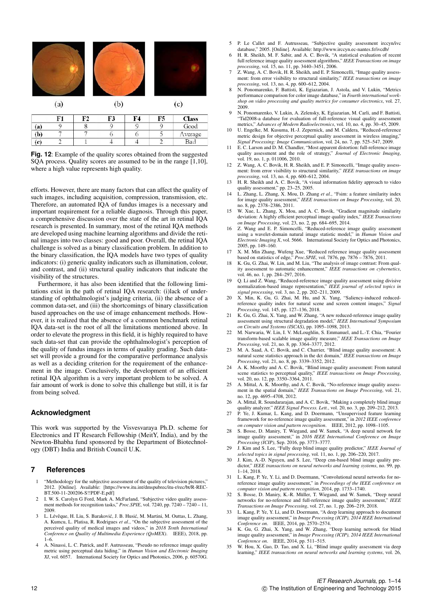|                      | (a) |                | (b)            |                |                | $\left( c\right)$ |
|----------------------|-----|----------------|----------------|----------------|----------------|-------------------|
|                      | F1  | F <sub>2</sub> | F3             | F <sub>4</sub> | F5             | <b>Class</b>      |
| (a)                  | 9   | 8              | $\overline{9}$ | 9              | 9              | Good              |
| (b)                  | 7   | 7              | 6              | 6              | 5              | Average           |
| $\left($ c $\right)$ | 2   |                | $\overline{4}$ | $\overline{4}$ | $\overline{2}$ | Bad               |

**Fig. 12**: Example of the quality scores obtained from the suggested SQA process. Quality scores are assumed to be in the range [1,10], where a high value represents high quality.

efforts. However, there are many factors that can affect the quality of such images, including acquisition, compression, transmission, etc. Therefore, an automated IQA of fundus images is a necessary and important requirement for a reliable diagnosis. Through this paper, a comprehensive discussion over the state of the art in retinal IQA research is presented. In summary, most of the retinal IQA methods are developed using machine learning algorithms and divide the retinal images into two classes: good and poor. Overall, the retinal IQA challenge is solved as a binary classification problem. In addition to the binary classification, the IQA models have two types of quality indicators: (i) generic quality indicators such as illumination, colour, and contrast, and (ii) structural quality indicators that indicate the visibility of the structures.

Furthermore, it has also been identified that the following limitations exist in the path of retinal IQA research: (i)lack of understanding of ophthalmologist's judging criteria, (ii) the absence of a common data-set, and (iii) the shortcomings of binary classification based approaches on the use of image enhancement methods. However, it is realized that the absence of a common benchmark retinal IQA data-set is the root of all the limitations mentioned above. In order to elevate the progress in this field, it is highly required to have such data-set that can provide the ophthalmologist's perception of the quality of fundus images in terms of quality grading. Such dataset will provide a ground for the comparative performance analysis as well as a deciding criterion for the requirement of the enhancement in the image. Conclusively, the development of an efficient retinal IQA algorithm is a very important problem to be solved. A fair amount of work is done to solve this challenge but still, it is far from being solved.

# **Acknowledgment**

This work was supported by the Visvesvaraya Ph.D. scheme for Electronics and IT Research Fellowship (MeitY, India), and by the Newton-Bhabha fund sponsored by the Department of Biotechnology (DBT) India and British Council U.K.

#### **7 References**

- 1 "Methodology for the subjective assessment of the quality of television pictures," 2012. [Online]. Available: [https://www.itu.int/dmspubrec/itu-r/rec/bt/R-REC-BT.500-11-200206-S!!PDF-E.pdf]
- 2 I. W. S. Carolyn G Ford, Mark A. McFarland, "Subjective video quality assessment methods for recognition tasks," *Proc.SPIE*, vol. 7240, pp. 7240 – 7240 – 11, 2009.
- L. Lévêque, H. Liu, S. Baraković, J. B. Husić, M. Martini, M. Outtas, L. Zhang, A. Kumcu, L. Platisa, R. Rodrigues *et al.*, "On the subjective assessment of the perceived quality of medical images and videos," in *2018 Tenth International Conference on Quality of Multimedia Experience (QoMEX)*. IEEE), 2018, pp. 1–6.
- 4 A. Ninassi, L. C. Patrick, and F. Autrusseau, "Pseudo no reference image quality metric using perceptual data hiding," in *Human Vision and Electronic Imaging XI*, vol. 6057. International Society for Optics and Photonics, 2006, p. 60570G.
- 5 P. Le Callet and F. Autrusseau, "Subjective quality assessment irccyn/ivc database," 2005. [Online]. Available: http://www.irccyn.ec-nantes.fr/ivcdb/
- 6 H. R. Sheikh, M. F. Sabir, and A. C. Bovik, "A statistical evaluation of recent full reference image quality assessment algorithms," *IEEE Transactions on image*
- *processing*, vol. 15, no. 11, pp. 3440–3451, 2006. 7 Z. Wang, A. C. Bovik, H. R. Sheikh, and E. P. Simoncelli, "Image quality assessment: from error visibility to structural similarity," *IEEE transactions on image processing*, vol. 13, no. 4, pp. 600–612, 2004.
- 8 N. Ponomarenko, F. Battisti, K. Egiazarian, J. Astola, and V. Lukin, "Metrics performance comparison for color image database," in *Fourth international workshop on video processing and quality metrics for consumer electronics*, vol. 27, 2009.
- 9 N. Ponomarenko, V. Lukin, A. Zelensky, K. Egiazarian, M. Carli, and F. Battisti, "Tid2008-a database for evaluation of full-reference visual quality assessment metrics," *Advances of Modern Radioelectronics*, vol. 10, no. 4, pp. 30–45, 2009.
- 10 U. Engelke, M. Kusuma, H.-J. Zepernick, and M. Caldera, "Reduced-reference metric design for objective perceptual quality assessment in wireless imaging,'
- *Signal Processing: Image Communication*, vol. 24, no. 7, pp. 525–547, 2009. 11 E. C. Larson and D. M. Chandler, "Most apparent distortion: full-reference image quality assessment and the role of strategy," *Journal of Electronic Imaging*,
- vol. 19, no. 1, p. 011006, 2010. 12 Z. Wang, A. C. Bovik, H. R. Sheikh, and E. P. Simoncelli, "Image quality assessment: from error visibility to structural similarity," *IEEE transactions on image processing*, vol. 13, no. 4, pp. 600–612, 2004.
- *processing*, vol. 13, no. 4, pp. 600–612, 2004.<br>
13 H. R. Sheikh and A. C. Bovik, "A visual information fidelity approach to video<br>
quality assessment," pp. 23-25, 2005.<br>
14 L. Zhang, L. Zhang, X. Mou, D. Zhang *et al.*,
- for image quality assessment," *IEEE transactions on Image Processing*, vol. 20, no. 8, pp. 2378–2386, 2011.
- W. Xue, L. Zhang, X. Mou, and A. C. Bovik, "Gradient magnitude similarity deviation: A highly efficient perceptual image quality index," *IEEE Transactions*
- *on Image Processing*, vol. 23, no. 2, pp. 684–695, 2014. 16 Z. Wang and E. P. Simoncelli, "Reduced-reference image quality assessment using a wavelet-domain natural image statistic model," in *Human Vision and Electronic Imaging X*, vol. 5666. International Society for Optics and Photonics, 2005, pp. 149–160.
- 17 X. M. Min Zhang, Wufeng Xue, "Reduced reference image quality assessment based on statistics of edge," *Proc.SPIE*, vol. 7876, pp. 7876 7876, 2011.
- 18 K. Gu, G. Zhai, W. Lin, and M. Liu, "The analysis of image contrast: From quality assessment to automatic enhancement," *IEEE transactions on cybernetics*, vol. 46, no. 1, pp. 284–297, 2016.
- 19 Q. Li and Z. Wang, "Reduced-reference image quality assessment using divisive normalization-based image representation," *IEEE journal of selected topics in signal processing*, vol. 3, no. 2, pp. 202–211, 2009.
- 20 X. Min, K. Gu, G. Zhai, M. Hu, and X. Yang, "Saliency-induced reducedreference quality index for natural scene and screen content images," *Signal Processing*, vol. 145, pp. 127–136, 2018.
- K. Gu, G. Zhai, X. Yang, and W. Zhang, "A new reduced-reference image quality assessment using structural degradation model," *IEEE International Symposium on Circuits and Systems (ISCAS)*, pp. 1095–1098, 2013.
- 22 M. Narwaria, W. Lin, I. V. McLoughlin, S. Emmanuel, and L.-T. Chia, "Fourier transform-based scalable image quality measure," *IEEE Transactions on Image Processing*, vol. 21, no. 8, pp. 3364–3377, 2012.
- 23 M. A. Saad, A. C. Bovik, and C. Charrier, "Blind image quality assessment: A natural scene statistics approach in the dct domain," *IEEE transactions on Image*
- *Processing*, vol. 21, no. 8, pp. 3339–3352, 2012. 24 A. K. Moorthy and A. C. Bovik, "Blind image quality assessment: From natural scene statistics to perceptual quality," *IEEE transactions on Image Processing*, vol. 20, no. 12, pp. 3350–3364, 2011.
- 25 A. Mittal, A. K. Moorthy, and A. C. Bovik, "No-reference image quality assessment in the spatial domain," *IEEE Transactions on Image Processing*, vol. 21, no. 12, pp. 4695–4708, 2012.
- 26 A. Mittal, R. Soundararajan, and A. C. Bovik, "Making a completely blind image
- quality analyzer." *IEEE Signal Process. Lett.*, vol. 20, no. 3, pp. 209–212, 2013. 27 P. Ye, J. Kumar, L. Kang, and D. Doermann, "Unsupervised feature learning framework for no-reference image quality assessment," in *2012 IEEE conference on computer vision and pattern recognition*. IEEE, 2012, pp. 1098–1105.
- 28 S. Bosse, D. Maniry, T. Wiegand, and W. Samek, "A deep neural network for image quality assessment," in *2016 IEEE International Conference on Image Processing (ICIP)*, Sep. 2016, pp. 3773–3777. 29 J. Kim and S. Lee, "Fully deep blind image quality predictor," *IEEE Journal of*
- *selected topics in signal processing*, vol. 11, no. 1, pp. 206–220, 2017. 30 J. Kim, A.-D. Nguyen, and S. Lee, "Deep cnn-based blind image quality pre-
- dictor," *IEEE transactions on neural networks and learning systems*, no. 99, pp. 1–14, 2018.
- 31 L. Kang, P. Ye, Y. Li, and D. Doermann, "Convolutional neural networks for noreference image quality assessment," in *Proceedings of the IEEE conference on computer vision and pattern recognition*, 2014, pp. 1733–1740.
- 32 S. Bosse, D. Maniry, K.-R. Müller, T. Wiegand, and W. Samek, "Deep neural networks for no-reference and full-reference image quality assessment," *IEEE Transactions on Image Processing*, vol. 27, no. 1, pp. 206–219, 2018.
- 33 L. Kang, P. Ye, Y. Li, and D. Doermann, "A deep learning approach to document image quality assessment," in *Image Processing (ICIP), 2014 IEEE International Conference on*. IEEE, 2014, pp. 2570–2574.
- 34 K. Gu, G. Zhai, X. Yang, and W. Zhang, "Deep learning network for blind image quality assessment," in *Image Processing (ICIP), 2014 IEEE International Conference on*. IEEE, 2014, pp. 511–515.
- 35 W. Hou, X. Gao, D. Tao, and X. Li, "Blind image quality assessment via deep learning," *IEEE transactions on neural networks and learning systems*, vol. 26,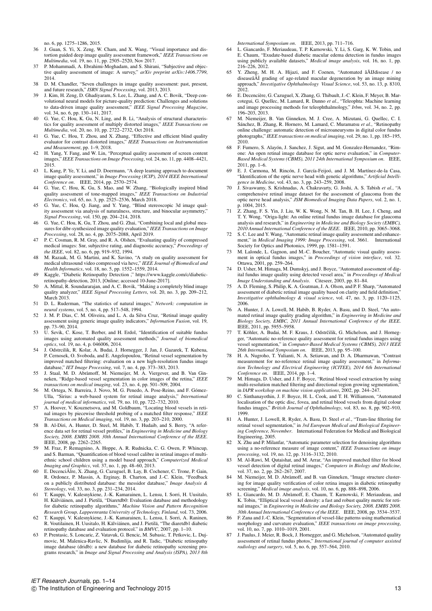no. 6, pp. 1275–1286, 2015.

- 36 J. Guan, S. Yi, X. Zeng, W. Cham, and X. Wang, "Visual importance and distortion guided deep image quality assessment framework," *IEEE Transactions on Multimedia*, vol. 19, no. 11, pp. 2505–2520, Nov 2017.
- 37 P. Mohammadi, A. Ebrahimi-Moghadam, and S. Shirani, "Subjective and objective quality assessment of image: A survey," *arXiv preprint arXiv:1406.7799*, 2014.
- 38 D. M. Chandler, "Seven challenges in image quality assessment: past, present, and future research," *ISRN Signal Processing*, vol. 2013, 2013.
- J. Kim, H. Zeng, D. Ghadiyaram, S. Lee, L. Zhang, and A. C. Bovik, "Deep convolutional neural models for picture-quality prediction: Challenges and solutions to data-driven image quality assessment," *IEEE Signal Processing Magazine*,
- vol. 34, no. 6, pp. 130–141, 2017. 40 G. Yue, C. Hou, K. Gu, N. Ling, and B. Li, "Analysis of structural characteristics for quality assessment of multiply distorted images," *IEEE Transactions on Multimedia*, vol. 20, no. 10, pp. 2722–2732, Oct 2018.
- 41 G. Yue, C. Hou, T. Zhou, and X. Zhang, "Effective and efficient blind quality evaluator for contrast distorted images," *IEEE Transactions on Instrumentation and Measurement*, pp. 1–9, 2018.
- 42 H. Yang, Y. Fang, and W. Lin, "Perceptual quality assessment of screen content images," *IEEE Transactions on Image Processing*, vol. 24, no. 11, pp. 4408–4421, 2015.
- 43 L. Kang, P. Ye, Y. Li, and D. Doermann, "A deep learning approach to document image quality assessment," in *Image Processing (ICIP), 2014 IEEE International Conference on*. IEEE, 2014, pp. 2570–2574.
- 44 G. Yue, C. Hou, K. Gu, S. Mao, and W. Zhang, "Biologically inspired blind quality assessment of tone-mapped images," *IEEE Transactions on Industrial Electronics*, vol. 65, no. 3, pp. 2525–2536, March 2018.
- 45 G. Yue, C. Hou, Q. Jiang, and Y. Yang, "Blind stereoscopic 3d image quality assessment via analysis of naturalness, structure, and binocular asymmetry," *Signal Processing*, vol. 150, pp. 204–214, 2018.
- 46 G. Yue, C. Hou, K. Gu, T. Zhou, and G. Zhai, "Combining local and global measures for dibr-synthesized image quality evaluation," *IEEE Transactions on Image Processing*, vol. 28, no. 4, pp. 2075–2088, April 2019.
- 47 P. C. Cosman, R. M. Gray, and R. A. Olshen, "Evaluating quality of compressed medical images: Snr, subjective rating, and diagnostic accuracy," *Proceedings of the IEEE*, vol. 82, no. 6, pp. 919–932, 1994.
- 48 M. Razaak, M. G. Martini, and K. Savino, "A study on quality assessment for medical ultrasound video compressed via hevc," *IEEE Journal of Biomedical and*
- *Health Informatics*, vol. 18, no. 5, pp. 1552–1559, 2014. 49 Kaggle, "Diabetic Retinopathy Detection ," https://www.kaggle.com/c/diabeticretinopathy-detection, 2013, [Online; accessed 10-June-2017].
- 50 A. Mittal, R. Soundararajan, and A. C. Bovik, "Making a completely blind image quality analyzer," *IEEE Signal Processing Letters*, vol. 20, no. 3, pp. 209–212, March 2013.
- 51 D. L. Ruderman, "The statistics of natural images," *Network: computation in neural systems*, vol. 5, no. 4, pp. 517–548, 1994.
- 52 J. M. P. Dias, C. M. Oliveira, and L. A. da Silva Cruz, "Retinal image quality assessment using generic image quality indicators," *Information Fusion*, vol. 19, pp. 73–90, 2014.
- 53 U. Sevik, C. Kose, T. Berber, and H. Erdol, "Identification of suitable fundus images using automated quality assessment methods," *Journal of biomedical optics*, vol. 19, no. 4, p. 046006, 2014.
- 54 J. Odstrcilik, R. Kolar, A. Budai, J. Hornegger, J. Jan, J. Gazarek, T. Kubena, P. Cernosek, O. Svoboda, and E. Angelopoulou, "Retinal vessel segmentation by improved matched filtering: evaluation on a new high-resolution fundus image database," *IET Image Processing*, vol. 7, no. 4, pp. 373–383, 2013.<br>55 J. Staal, M. D. Abràmoff, M. Niemeijer, M. A. Viergever, and B. Van Gin-
- neken, "Ridge-based vessel segmentation in color images of the retina," *IEEE transactions on medical imaging*, vol. 23, no. 4, pp. 501–509, 2004.
- 56 M. Ortega, N. Barreira, J. Novo, M. G. Penedo, A. Pose-Reino, and F. Gómez-Ulla, "Sirius: a web-based system for retinal image analysis," *International journal of medical informatics*, vol. 79, no. 10, pp. 722–732, 2010.
- 57 A. Hoover, V. Kouznetsova, and M. Goldbaum, "Locating blood vessels in reti-nal images by piecewise threshold probing of a matched filter response," *IEEE Transactions on Medical imaging*, vol. 19, no. 3, pp. 203–210, 2000.
- 58 B. Al-Diri, A. Hunter, D. Steel, M. Habib, T. Hudaib, and S. Berry, "A reference data set for retinal vessel profiles," in *Engineering in Medicine and Biology Society, 2008. EMBS 2008. 30th Annual International Conference of the IEEE*. IEEE, 2008, pp. 2262–2265.
- 59 M. Fraz, P. Remagnino, A. Hoppe, A. R. Rudnicka, C. G. Owen, P. Whincup, and S. Barman, "Quantification of blood vessel calibre in retinal images of multiethnic school children using a model based approach," *Computerized Medical Imaging and Graphics*, vol. 37, no. 1, pp. 48–60, 2013.
- 60 E. Decenciôlre, X. Zhang, G. Cazuguel, B. Lay, B. Cochener, C. Trone, P. Gain, R. Ordonez, P. Massin, A. Erginay, B. Charton, and J.-C. Klein, "Feedback on a publicly distributed database: the messidor database," *Image Analysis & Stereology*, vol. 33, no. 3, pp. 231–234, 2014.
- 61 T. Kauppi, V. Kalesnykiene, J.-K. Kamarainen, L. Lensu, I. Sorri, H. Uusitalo, H. Kälviäinen, and J. Pietilä, "Diaretdb0: Evaluation database and methodology for diabetic retinopathy algorithms," *Machine Vision and Pattern Recognition Research Group, Lappeenranta University of Technology, Finland*, vol. 73, 2006.
- 62 T. Kauppi, V. Kalesnykiene, J.-K. Kamarainen, L. Lensu, I. Sorri, A. Raninen, R. Voutilainen, H. Uusitalo, H. Kälviäinen, and J. Pietilä, "The diaretdb1 diabetic retinopathy database and evaluation protocol." in *BMVC*, 2007, pp. 1–10.
- 63 P. Prentasic, S. Loncaric, Z. Vatavuk, G. Bencic, M. Subasic, T. Petkovic, L. Dujmovic, M. Malenica-Ravlic, N. Budimlija, and R. Tadic, "Diabetic retinopathy image database (dridb): a new database for diabetic retinopathy screening programs research," in *Image and Signal Processing and Analysis (ISPA), 2013 8th*

*International Symposium on*. IEEE, 2013, pp. 711–716.

- 64 L. Giancardo, F. Meriaudeau, T. P. Karnowski, Y. Li, S. Garg, K. W. Tobin, and E. Chaum, "Exudate-based diabetic macular edema detection in fundus images using publicly available datasets," *Medical image analysis*, vol. 16, no. 1, pp. 216–226, 2012.
- 65 Y. Zheng, M. H. A. Hijazi, and F. Coenen, "Automated â AIJ disease  $\ell$  no disease  $\ell$  and  $\ell$  are  $\ell$  and  $\ell$  are  $\ell$  and  $\ell$  are  $\ell$  are  $\ell$  are  $\ell$  and  $\ell$  are  $\ell$  and  $\ell$  are  $\ell$  and  $\ell$  are  $\ell$  and approach," *Investigative Ophthalmology Visual Science*, vol. 53, no. 13, p. 8310, 2012.
- 66 E. Decencière, G. Cazuguel, X. Zhang, G. Thibault, J.-C. Klein, F. Meyer, B. Mar-cotegui, G. Quellec, M. Lamard, R. Danno *et al.*, "Teleophta: Machine learning and image processing methods for teleophthalmology," *Irbm*, vol. 34, no. 2, pp. 196–203, 2013.
- 67 M. Niemeijer, B. Van Ginneken, M. J. Cree, A. Mizutani, G. Quellec, C. I. Sánchez, B. Zhang, R. Hornero, M. Lamard, C. Muramatsu *et al.*, "Retinopathy online challenge: automatic detection of microaneurysms in digital color fundus photographs," *IEEE transactions on medical imaging*, vol. 29, no. 1, pp. 185–195, 2010.
- 68 F. Fumero, S. Alayón, J. Sanchez, J. Sigut, and M. Gonzalez-Hernandez, "Rimone: An open retinal image database for optic nerve evaluation," in *Computer-Based Medical Systems (CBMS), 2011 24th International Symposium on*. IEEE, 2011, pp. 1–6.
- 69 E. J. Carmona, M. Rincón, J. García-Feijoó, and J. M. Martínez-de-la Casa, "Identification of the optic nerve head with genetic algorithms," *Artificial Intelli-gence in Medicine*, vol. 43, no. 3, pp. 243–259, 2008.
- 70 J. Sivaswamy, S. Krishnadas, A. Chakravarty, G. Joshi, A. S. Tabish *et al.*, "A comprehensive retinal image dataset for the assessment of glaucoma from the optic nerve head analysis," *JSM Biomedical Imaging Data Papers*, vol. 2, no. 1,
- p. 1004, 2015. 71 Z. Zhang, F. S. Yin, J. Liu, W. K. Wong, N. M. Tan, B. H. Lee, J. Cheng, and T. Y. Wong, "Origa-light: An online retinal fundus image database for glaucoma analysis and research," in *Engineering in Medicine and Biology Society (EMBC), 2010 Annual International Conference of the IEEE*. IEEE, 2010, pp. 3065–3068.
- 8. C. Lee and Y. Wang, "Automatic retinal image quality assessment and enhancement," in *Medical Imaging 1999: Image Processing*, vol. 3661. International Society for Optics and Photonics, 1999, pp. 1581–1591.
- M. Lalonde, L. Gagnon, and M.-C. Boucher, "Automatic visual quality assessment in optical fundus images," in *Proceedings of vision interface*, vol. 32. Ottawa, 2001, pp. 259–264.
- 74 D. Usher, M. Himaga, M. Dumskyj, and J. Boyce, "Automated assessment of digital fundus image quality using detected vessel area," in *Proceedings of Medical Image Understanding and Analysis*. Citeseer, 2003, pp. 81–84.
- 75 A. D. Fleming, S. Philip, K. A. Goatman, J. A. Olson, and P. F. Sharp, "Automated assessment of diabetic retinal image quality based on clarity and field definition, *Investigative ophthalmology & visual science*, vol. 47, no. 3, pp. 1120–1125, 2006.
- A. Hunter, J. A. Lowell, M. Habib, B. Ryder, A. Basu, and D. Steel, "An automated retinal image quality grading algorithm," in *Engineering in Medicine and Biology Society, EMBC, 2011 Annual International Conference of the IEEE*. IEEE, 2011, pp. 5955–5958.
- T. Köhler, A. Budai, M. F. Kraus, J. Odstrčilik, G. Michelson, and J. Hornegger, "Automatic no-reference quality assessment for retinal fundus images using vessel segmentation," in *Computer-Based Medical Systems (CBMS), 2013 IEEE 26th International Symposium on*. IEEE, 2013, pp. 95–100.
- 78 H. A. Nugroho, T. Yulianti, N. A. Setiawan, and D. A. Dharmawan, "Contrast measurement for no-reference retinal image quality assessment," in *Informa-tion Technology and Electrical Engineering (ICITEE), 2014 6th International Conference on*. IEEE, 2014, pp. 1–4.
- M. Himaga, D. Usher, and J. F. Boyce, "Retinal blood vessel extraction by using multi-resolution matched filtering and directional region growing segmentation, in *IAPR workshop on machine vision applications*, 2002, pp. 244–247.
- 80 C. Sinthanayothin, J. F. Boyce, H. L. Cook, and T. H. Williamson, "Automated localisation of the optic disc, fovea, and retinal blood vessels from digital colour fundus images," *British Journal of Ophthalmology*, vol. 83, no. 8, pp. 902–910, 1999.
- 81 A. Hunter, J. Lowell, R. Ryder, A. Basu, D. Steel *et al.*, "Tram-line filtering for retinal vessel segmentation," in *3rd European Medical and Biological Engineering Conference, November*. International Federation for Medical and Biological Engineering, 2005.
- X. Zhu and P. Milanfar, "Automatic parameter selection for denoising algorithms using a no-reference measure of image content," *IEEE Transactions on image processing*, vol. 19, no. 12, pp. 3116–3132, 2010.
- M. Al-Rawi, M. Qutaishat, and M. Arrar, "An improved matched filter for blood vessel detection of digital retinal images," *Computers in Biology and Medicine*, vol. 37, no. 2, pp. 262–267, 2007.
- M. Niemeijer, M. D. Abràmoff, and B. van Ginneken, "Image structure clustering for image quality verification of color retina images in diabetic retinopathy screening," *Medical image analysis*, vol. 10, no. 6, pp. 888–898, 2006.
- L. Giancardo, M. D. Abràmoff, E. Chaum, T. Karnowski, F. Meriaudeau, and K. Tobin, "Elliptical local vessel density: a fast and robust quality metric for retinal images," in *Engineering in Medicine and Biology Society, 2008. EMBS 2008. 30th Annual International Conference of the IEEE*. IEEE, 2008, pp. 3534–3537.
- F. Zana and J.-C. Klein, "Segmentation of vessel-like patterns using mathematical morphology and curvature evaluation," *IEEE transactions on image processing*, vol. 10, no. 7, pp. 1010–1019, 2001.
- 87 J. Paulus, J. Meier, R. Bock, J. Hornegger, and G. Michelson, "Automated quality assessment of retinal fundus photos," *International journal of computer assisted radiology and surgery*, vol. 5, no. 6, pp. 557–564, 2010.